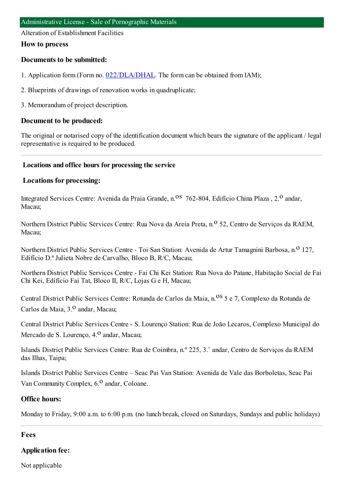Alteration of Establishment Facilities

#### **How to process**

### **Documents to be submitted:**

- 1. Application form (Form no. [022/DLA/DHAL](https://www.iam.gov.mo/c/pdf/eformDetail/PDF1013). The form can be obtained from IAM);
- 2. Blueprints of drawings of renovation works in quadruplicate;
- 3. Memorandumof project description.

#### **Document to be produced:**

The original or notarised copy of the identification document which bears the signature of the applicant / legal representative is required to be produced.

#### **Locations and office hours for processing the service**

#### **Locations for processing:**

Integrated Services Centre: Avenida da Praia Grande, n.<sup>08</sup> 762-804, Edifício China Plaza, 2.<sup>0</sup> andar, Macau;

Northern District Public Services Centre: Rua Nova da Areia Preta, n.<sup>o</sup> 52, Centro de Serviços da RAEM, Macau;

Northern District Public Services Centre - Toi San Station: Avenida de Artur Tamagnini Barbosa, n.º 127, Edifício D.ª Julieta Nobre de Carvalho, Bloco B, R/C, Macau;

Northern District Public Services Centre - Fai Chi Kei Station: Rua Nova do Patane, Habitação Social de Fai Chi Kei, Edifício Fai Tat, Bloco II, R/C, Lojas G e H, Macau;

Central District Public Services Centre: Rotunda de Carlos da Maia, n.<sup>08</sup> 5 e 7, Complexo da Rotunda de Carlos da Maia, 3.<sup>0</sup> andar, Macau;

Central District Public Services Centre - S. Lourenço Station: Rua de João Lecaros, Complexo Municipal do Mercado de S. Lourenço, 4.<sup>0</sup> andar, Macau;

Islands District Public Services Centre: Rua de Coimbra, n.º 225, 3.˚ andar, Centro de Serviços da RAEM das Ilhas, Taipa;

Islands District Public Services Centre – Seac Pai Van Station: Avenida de Vale das Borboletas, Seac Pai Van Community Complex, 6.<sup>0</sup> andar, Coloane.

#### **Office hours:**

Monday to Friday, 9:00 a.m. to 6:00 p.m. (no lunch break, closed on Saturdays, Sundays and public holidays)

### **Fees**

### **Application fee:**

Not applicable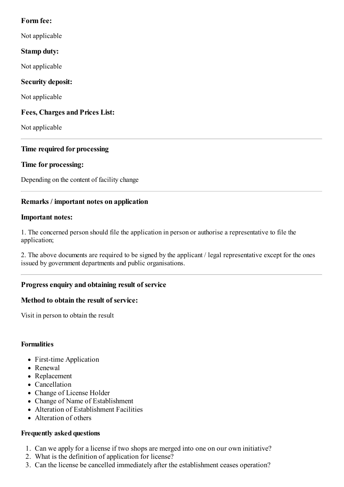## **Form fee:**

Not applicable

# **Stamp duty:**

Not applicable

# **Security deposit:**

Not applicable

# **Fees, Charges and Prices List:**

Not applicable

# **Time required for processing**

# **Time for processing:**

Depending on the content of facility change

# **Remarks / important notes on application**

### **Important notes:**

1. The concerned person should file the application in person or authorise a representative to file the application;

2. The above documents are required to be signed by the applicant / legal representative except for the ones issued by government departments and public organisations.

# **Progressenquiry and obtaining result of service**

## **Method to obtain the result of service:**

Visit in person to obtain the result

## **Formalities**

- First-time Application
- Renewal
- Replacement
- Cancellation
- Change of License Holder
- Change of Name of Establishment
- Alteration of Establishment Facilities
- Alteration of others

## **Frequently asked questions**

- 1. Can we apply for a license if two shops are merged into one on our own initiative?
- 2. What is the definition of application for license?
- 3. Can the license be cancelled immediately after the establishment ceases operation?